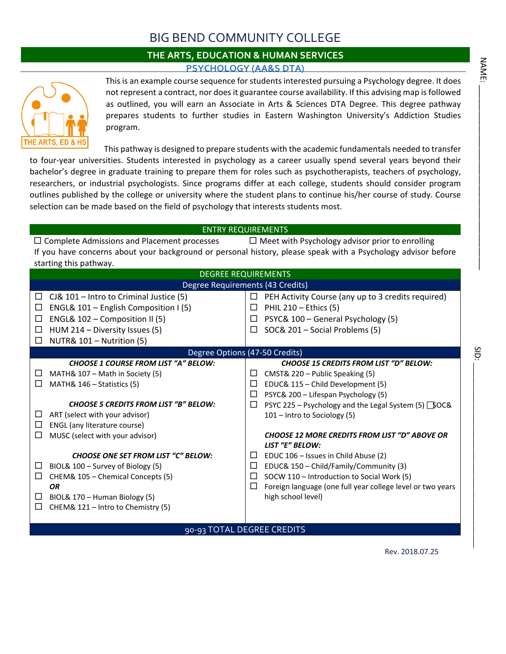## BIG BEND COMMUNITY COLLEGE

## **THE ARTS, EDUCATION & HUMAN SERVICES PSYCHOLOGY (AA&S DTA)**



This is an example course sequence for students interested pursuing a Psychology degree. It does not represent a contract, nor does it guarantee course availability. If this advising map is followed as outlined, you will earn an Associate in Arts & Sciences DTA Degree. This degree pathway prepares students to further studies in Eastern Washington University's Addiction Studies program.

This pathway is designed to prepare students with the academic fundamentals needed to transfer

to four-year universities. Students interested in psychology as a career usually spend several years beyond their bachelor's degree in graduate training to prepare them for roles such as psychotherapists, teachers of psychology, researchers, or industrial psychologists. Since programs differ at each college, students should consider program outlines published by the college or university where the student plans to continue his/her course of study. Course selection can be made based on the field of psychology that interests students most.

## ENTRY REQUIREMENTS

 $\Box$  Complete Admissions and Placement processes  $\Box$  Meet with Psychology advisor prior to enrolling If you have concerns about your background or personal history, please speak with a Psychology advisor before starting this pathway.

|        | <b>DEGREE REQUIREMENTS</b>                   |        |                                                                         |  |  |  |  |
|--------|----------------------------------------------|--------|-------------------------------------------------------------------------|--|--|--|--|
|        | Degree Requirements (43 Credits)             |        |                                                                         |  |  |  |  |
| $\Box$ | $CJ& 101$ – Intro to Criminal Justice (5)    | □      | PEH Activity Course (any up to 3 credits required)                      |  |  |  |  |
| □      | ENGL& 101 - English Composition I (5)        | □      | PHIL $210 -$ Ethics (5)                                                 |  |  |  |  |
| □      | ENGL& 102 - Composition II (5)               | □      | PSYC& 100 - General Psychology (5)                                      |  |  |  |  |
| □      | HUM 214 - Diversity Issues (5)               | $\Box$ | SOC& 201 - Social Problems (5)                                          |  |  |  |  |
| П      | NUTR& 101 - Nutrition (5)                    |        |                                                                         |  |  |  |  |
|        | Degree Options (47-50 Credits)               |        |                                                                         |  |  |  |  |
|        | <b>CHOOSE 1 COURSE FROM LIST "A" BELOW:</b>  |        | <b>CHOOSE 15 CREDITS FROM LIST "D" BELOW:</b>                           |  |  |  |  |
| ⊔      | MATH& 107 - Math in Society (5)              | □      | CMST& 220 - Public Speaking (5)                                         |  |  |  |  |
| $\Box$ | MATH& 146 - Statistics (5)                   | □      | EDUC& 115 - Child Development (5)                                       |  |  |  |  |
|        |                                              | □      | PSYC& 200 - Lifespan Psychology (5)                                     |  |  |  |  |
|        | <b>CHOOSE 5 CREDITS FROM LIST "B" BELOW:</b> | $\Box$ | PSYC 225 - Psychology and the Legal System (5) SOC&                     |  |  |  |  |
| ப      | ART (select with your advisor)               |        | 101 – Intro to Sociology (5)                                            |  |  |  |  |
| $\Box$ | ENGL (any literature course)                 |        |                                                                         |  |  |  |  |
| $\Box$ | MUSC (select with your advisor)              |        | <b>CHOOSE 12 MORE CREDITS FROM LIST "D" ABOVE OR</b><br>LIST "E" BELOW: |  |  |  |  |
|        | <b>CHOOSE ONE SET FROM LIST "C" BELOW:</b>   | ⊔      | EDUC 106 - Issues in Child Abuse (2)                                    |  |  |  |  |
| ⊔      | BIOL& 100 - Survey of Biology (5)            | □      | EDUC& 150 - Child/Family/Community (3)                                  |  |  |  |  |
| $\Box$ | CHEM& 105 - Chemical Concepts (5)            | $\Box$ | SOCW 110 - Introduction to Social Work (5)                              |  |  |  |  |
|        | <b>OR</b>                                    | □      | Foreign language (one full year college level or two years              |  |  |  |  |
| □      | BIOL& 170 - Human Biology (5)                |        | high school level)                                                      |  |  |  |  |
| $\Box$ | CHEM& 121 - Intro to Chemistry (5)           |        |                                                                         |  |  |  |  |
|        |                                              |        |                                                                         |  |  |  |  |
|        | 90-93 TOTAL DEGREE CREDITS                   |        |                                                                         |  |  |  |  |

Rev. 2018.07.25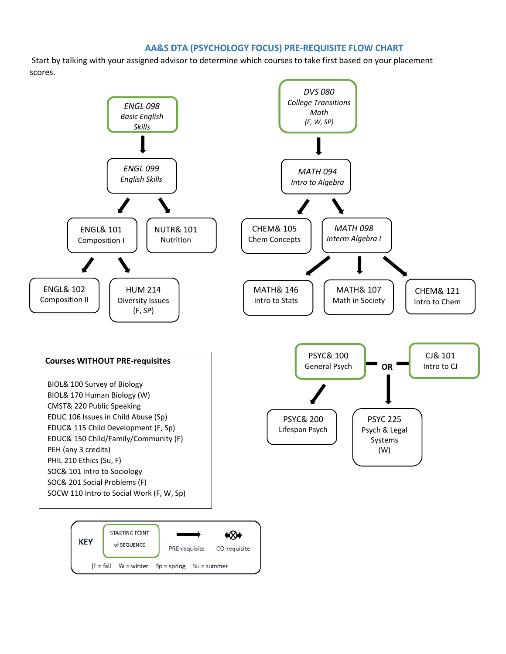## **AA&S DTA (PSYCHOLOGY FOCUS) PRE-REQUISITE FLOW CHART**

Start by talking with your assigned advisor to determine which courses to take first based on your placement scores.

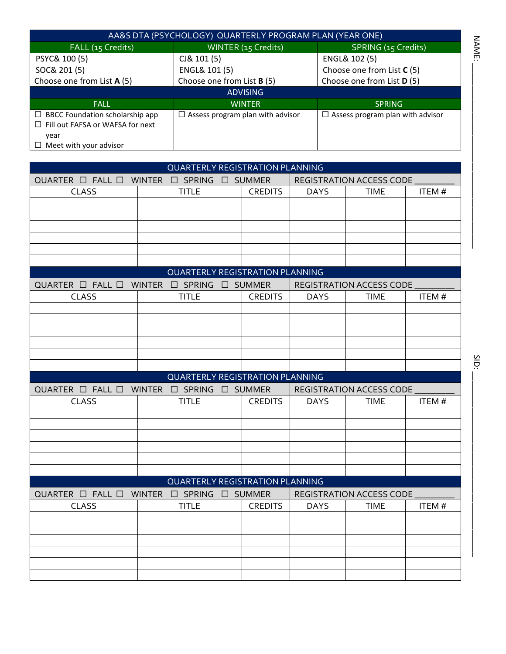| AA&S DTA (PSYCHOLOGY) QUARTERLY PROGRAM PLAN (YEAR ONE) |                                         |                                         |  |  |  |  |
|---------------------------------------------------------|-----------------------------------------|-----------------------------------------|--|--|--|--|
| FALL (15 Credits)                                       | WINTER (15 Credits)                     | SPRING (15 Credits)                     |  |  |  |  |
| PSYC& 100 (5)                                           | CJ& 101(5)                              | ENGL& 102 (5)                           |  |  |  |  |
| SOC& 201 (5)                                            | ENGL& 101 (5)                           | Choose one from List <b>C</b> (5)       |  |  |  |  |
| Choose one from List A (5)                              | Choose one from List <b>B</b> (5)       | Choose one from List D (5)              |  |  |  |  |
| <b>ADVISING</b>                                         |                                         |                                         |  |  |  |  |
| <b>FALL</b>                                             | <b>WINTER</b>                           | <b>SPRING</b>                           |  |  |  |  |
| $\Box$ BBCC Foundation scholarship app                  | $\Box$ Assess program plan with advisor | $\Box$ Assess program plan with advisor |  |  |  |  |
| $\Box$ Fill out FAFSA or WAFSA for next                 |                                         |                                         |  |  |  |  |
| year                                                    |                                         |                                         |  |  |  |  |
| Meet with your advisor<br>ப                             |                                         |                                         |  |  |  |  |

| <b>QUARTERLY REGISTRATION PLANNING</b>                        |                                        |                |             |                                 |        |  |  |  |
|---------------------------------------------------------------|----------------------------------------|----------------|-------------|---------------------------------|--------|--|--|--|
| QUARTER $\Box$ FALL $\Box$ WINTER $\Box$ SPRING $\Box$ SUMMER |                                        |                |             | REGISTRATION ACCESS CODE        |        |  |  |  |
| <b>CLASS</b>                                                  | <b>TITLE</b>                           | <b>CREDITS</b> | <b>DAYS</b> | <b>TIME</b>                     | ITEM # |  |  |  |
|                                                               |                                        |                |             |                                 |        |  |  |  |
|                                                               |                                        |                |             |                                 |        |  |  |  |
|                                                               |                                        |                |             |                                 |        |  |  |  |
|                                                               |                                        |                |             |                                 |        |  |  |  |
|                                                               |                                        |                |             |                                 |        |  |  |  |
|                                                               |                                        |                |             |                                 |        |  |  |  |
|                                                               | <b>QUARTERLY REGISTRATION PLANNING</b> |                |             |                                 |        |  |  |  |
| QUARTER $\Box$ FALL $\Box$ WINTER $\Box$ SPRING $\Box$ SUMMER |                                        |                |             | REGISTRATION ACCESS CODE        |        |  |  |  |
| <b>CLASS</b>                                                  | <b>TITLE</b>                           | <b>CREDITS</b> | <b>DAYS</b> | <b>TIME</b>                     | ITEM#  |  |  |  |
|                                                               |                                        |                |             |                                 |        |  |  |  |
|                                                               |                                        |                |             |                                 |        |  |  |  |
|                                                               |                                        |                |             |                                 |        |  |  |  |
|                                                               |                                        |                |             |                                 |        |  |  |  |
|                                                               |                                        |                |             |                                 |        |  |  |  |
|                                                               |                                        |                |             |                                 |        |  |  |  |
|                                                               |                                        |                |             |                                 |        |  |  |  |
|                                                               | <b>QUARTERLY REGISTRATION PLANNING</b> |                |             |                                 |        |  |  |  |
| QUARTER $\Box$ FALL $\Box$ WINTER $\Box$ SPRING $\Box$ SUMMER |                                        |                |             | REGISTRATION ACCESS CODE        |        |  |  |  |
| <b>CLASS</b>                                                  | <b>TITLE</b>                           | <b>CREDITS</b> | <b>DAYS</b> | <b>TIME</b>                     | ITEM#  |  |  |  |
|                                                               |                                        |                |             |                                 |        |  |  |  |
|                                                               |                                        |                |             |                                 |        |  |  |  |
|                                                               |                                        |                |             |                                 |        |  |  |  |
|                                                               |                                        |                |             |                                 |        |  |  |  |
|                                                               |                                        |                |             |                                 |        |  |  |  |
|                                                               | <b>QUARTERLY REGISTRATION PLANNING</b> |                |             |                                 |        |  |  |  |
| QUARTER $\Box$ FALL $\Box$ WINTER $\Box$ SPRING $\Box$ SUMMER |                                        |                |             | <b>REGISTRATION ACCESS CODE</b> |        |  |  |  |
| <b>CLASS</b>                                                  | <b>TITLE</b>                           | <b>CREDITS</b> | <b>DAYS</b> | <b>TIME</b>                     | ITEM#  |  |  |  |
|                                                               |                                        |                |             |                                 |        |  |  |  |
|                                                               |                                        |                |             |                                 |        |  |  |  |
|                                                               |                                        |                |             |                                 |        |  |  |  |
|                                                               |                                        |                |             |                                 |        |  |  |  |
|                                                               |                                        |                |             |                                 |        |  |  |  |